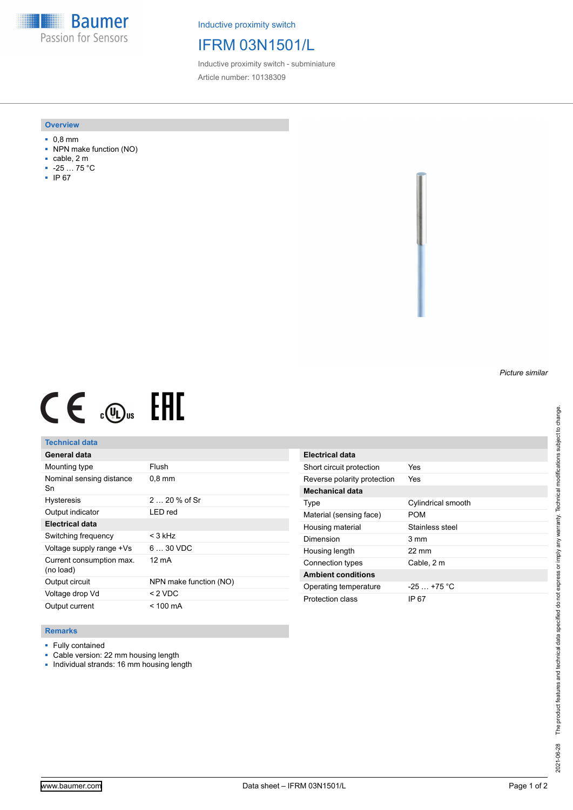**Baumer** Passion for Sensors

Inductive proximity switch

# IFRM 03N1501/L

Inductive proximity switch - subminiature Article number: 10138309

### **Overview**

- 0,8 mm
- NPN make function (NO)
- cable, 2 m
- -25 … 75 °C
- IP 67

## *Picture similar*

# $CE \mathcal{L}$  (Dus FRE

## **Technical data**

| General data                          |                        |
|---------------------------------------|------------------------|
| Mounting type                         | Flush                  |
| Nominal sensing distance<br>Sn        | $0.8$ mm               |
| <b>Hysteresis</b>                     | $220%$ of Sr           |
| Output indicator                      | LED red                |
| <b>Electrical data</b>                |                        |
| Switching frequency                   | $<$ 3 kHz              |
| Voltage supply range +Vs              | $630$ VDC              |
| Current consumption max.<br>(no load) | 12 mA                  |
| Output circuit                        | NPN make function (NO) |
| Voltage drop Vd                       | $<$ 2 VDC              |
| Output current                        | $<$ 100 mA             |

| Electrical data             |                    |
|-----------------------------|--------------------|
| Short circuit protection    | Yes                |
| Reverse polarity protection | Yes                |
| <b>Mechanical data</b>      |                    |
| Type                        | Cylindrical smooth |
| Material (sensing face)     | POM                |
| Housing material            | Stainless steel    |
| Dimension                   | $3 \text{ mm}$     |
| Housing length              | $22 \text{ mm}$    |
| Connection types            | Cable, 2 m         |
| <b>Ambient conditions</b>   |                    |
| Operating temperature       | $-25+75 °C$        |
| Protection class            | IP 67              |

#### **Remarks**

- Fully contained
- Cable version: 22 mm housing length
- Individual strands: 16 mm housing length